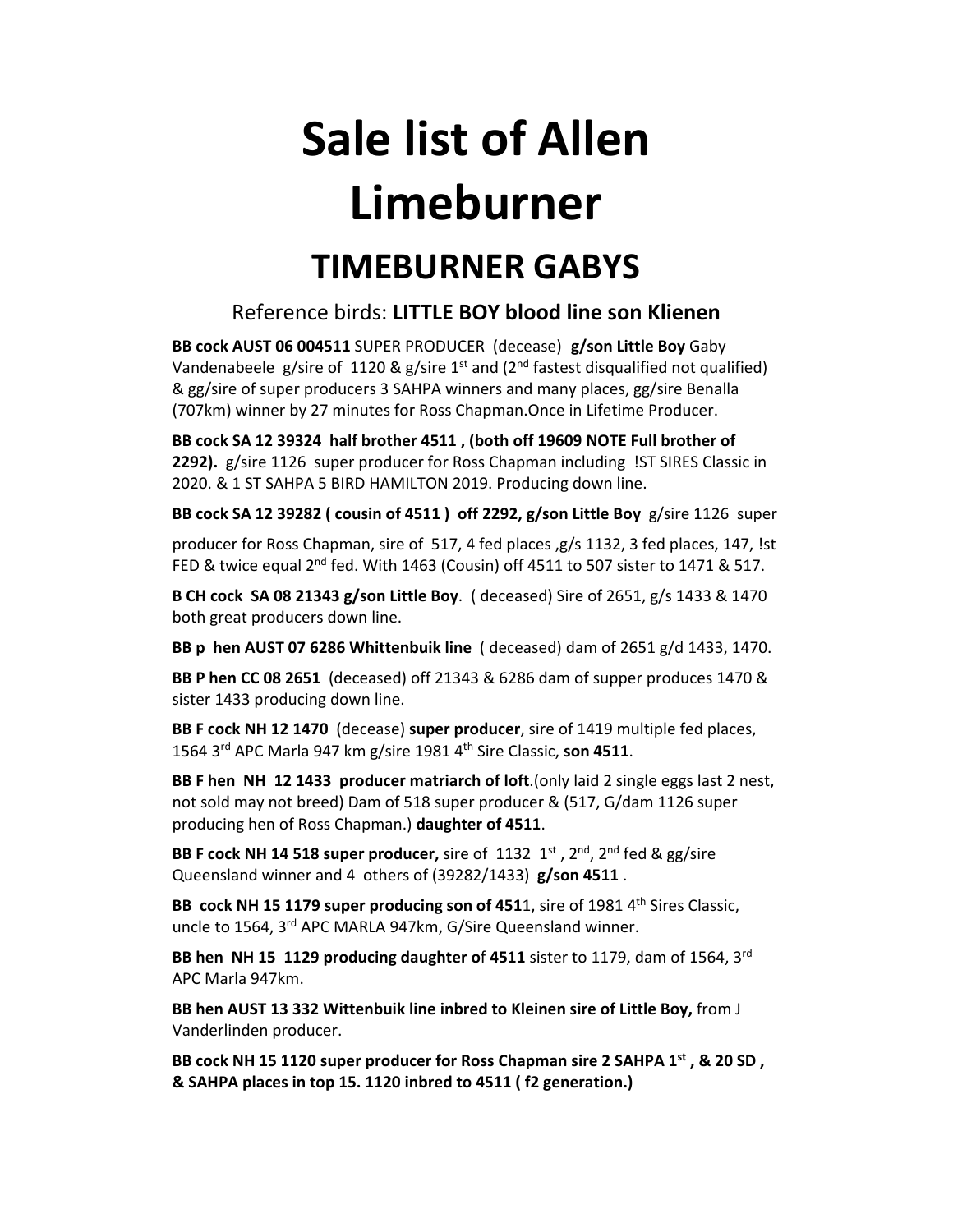# **Sale list of Allen Limeburner**

# **TIMEBURNER GABYS**

## Reference birds: **LITTLE BOY blood line son Klienen**

**BB cock AUST 06 004511** SUPER PRODUCER (decease) **g/son Little Boy** Gaby Vandenabeele  $g/s$ ire of 1120 &  $g/s$ ire 1<sup>st</sup> and (2<sup>nd</sup> fastest disqualified not qualified) & gg/sire of super producers 3 SAHPA winners and many places, gg/sire Benalla (707km) winner by 27 minutes for Ross Chapman.Once in Lifetime Producer.

**BB cock SA 12 39324 half brother 4511 , (both off 19609 NOTE Full brother of 2292).** g/sire 1126 super producer for Ross Chapman including !ST SIRES Classic in 2020. & 1 ST SAHPA 5 BIRD HAMILTON 2019. Producing down line.

**BB cock SA 12 39282 ( cousin of 4511 ) off 2292, g/son Little Boy** g/sire 1126 super

producer for Ross Chapman, sire of 517, 4 fed places ,g/s 1132, 3 fed places, 147, !st FED & twice equal 2<sup>nd</sup> fed. With 1463 (Cousin) off 4511 to 507 sister to 1471 & 517.

**B CH cock SA 08 21343 g/son Little Boy**. ( deceased) Sire of 2651, g/s 1433 & 1470 both great producers down line.

**BB p hen AUST 07 6286 Whittenbuik line** ( deceased) dam of 2651 g/d 1433, 1470.

**BB P hen CC 08 2651** (deceased) off 21343 & 6286 dam of supper produces 1470 & sister 1433 producing down line.

**BB F cock NH 12 1470** (decease) **super producer**, sire of 1419 multiple fed places, 1564 3rd APC Marla 947 km g/sire 1981 4th Sire Classic, **son 4511**.

**BB F hen NH 12 1433 producer matriarch of loft**.(only laid 2 single eggs last 2 nest, not sold may not breed) Dam of 518 super producer & (517, G/dam 1126 super producing hen of Ross Chapman.) **daughter of 4511**.

**BB F cock NH 14 518 super producer,** sire of 1132 1st , 2nd, 2nd fed & gg/sire Queensland winner and 4 others of (39282/1433) **g/son 4511** .

**BB cock NH 15 1179 super producing son of 451**1, sire of 1981 4th Sires Classic, uncle to 1564, 3rd APC MARLA 947km, G/Sire Queensland winner.

**BB hen NH 15 1129 producing daughter o**f **4511** sister to 1179, dam of 1564, 3rd APC Marla 947km.

**BB hen AUST 13 332 Wittenbuik line inbred to Kleinen sire of Little Boy,** from J Vanderlinden producer.

**BB cock NH 15 1120 super producer for Ross Chapman sire 2 SAHPA 1st , & 20 SD , & SAHPA places in top 15. 1120 inbred to 4511 ( f2 generation.)**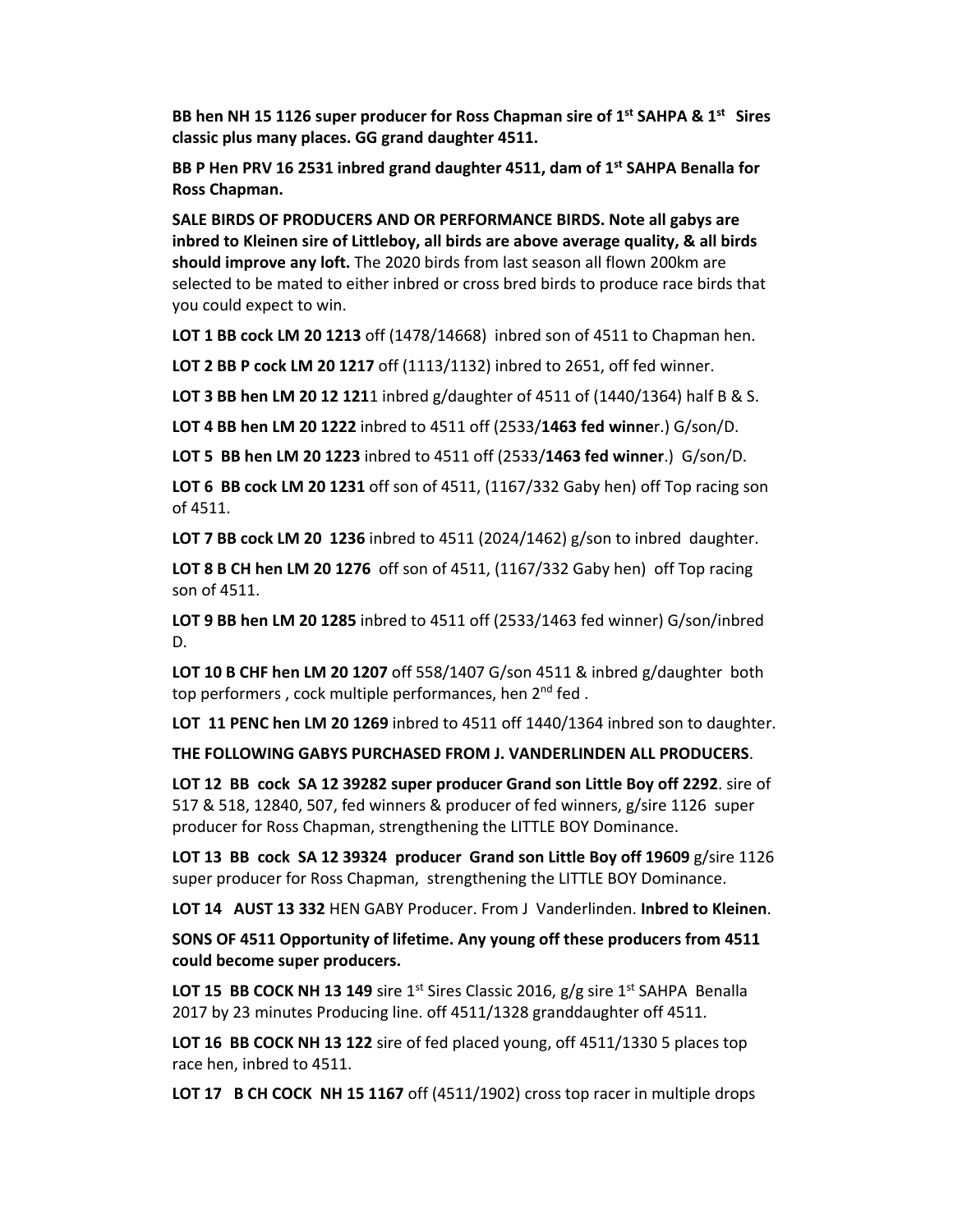**BB hen NH 15 1126 super producer for Ross Chapman sire of 1st SAHPA & 1st Sires classic plus many places. GG grand daughter 4511.**

**BB P Hen PRV 16 2531 inbred grand daughter 4511, dam of 1st SAHPA Benalla for Ross Chapman.**

**SALE BIRDS OF PRODUCERS AND OR PERFORMANCE BIRDS. Note all gabys are inbred to Kleinen sire of Littleboy, all birds are above average quality, & all birds should improve any loft.** The 2020 birds from last season all flown 200km are selected to be mated to either inbred or cross bred birds to produce race birds that you could expect to win.

**LOT 1 BB cock LM 20 1213** off (1478/14668) inbred son of 4511 to Chapman hen.

**LOT 2 BB P cock LM 20 1217** off (1113/1132) inbred to 2651, off fed winner.

**LOT 3 BB hen LM 20 12 121**1 inbred g/daughter of 4511 of (1440/1364) half B & S.

**LOT 4 BB hen LM 20 1222** inbred to 4511 off (2533/**1463 fed winne**r.) G/son/D.

**LOT 5 BB hen LM 20 1223** inbred to 4511 off (2533/**1463 fed winner**.) G/son/D.

**LOT 6 BB cock LM 20 1231** off son of 4511, (1167/332 Gaby hen) off Top racing son of 4511.

**LOT 7 BB cock LM 20 1236** inbred to 4511 (2024/1462) g/son to inbred daughter.

**LOT 8 B CH hen LM 20 1276** off son of 4511, (1167/332 Gaby hen) off Top racing son of 4511.

**LOT 9 BB hen LM 20 1285** inbred to 4511 off (2533/1463 fed winner) G/son/inbred D.

**LOT 10 B CHF hen LM 20 1207** off 558/1407 G/son 4511 & inbred g/daughter both top performers, cock multiple performances, hen 2<sup>nd</sup> fed.

**LOT 11 PENC hen LM 20 1269** inbred to 4511 off 1440/1364 inbred son to daughter.

**THE FOLLOWING GABYS PURCHASED FROM J. VANDERLINDEN ALL PRODUCERS**.

**LOT 12 BB cock SA 12 39282 super producer Grand son Little Boy off 2292**. sire of 517 & 518, 12840, 507, fed winners & producer of fed winners, g/sire 1126 super producer for Ross Chapman, strengthening the LITTLE BOY Dominance.

**LOT 13 BB cock SA 12 39324 producer Grand son Little Boy off 19609** g/sire 1126 super producer for Ross Chapman, strengthening the LITTLE BOY Dominance.

**LOT 14 AUST 13 332** HEN GABY Producer. From J Vanderlinden. **Inbred to Kleinen**.

**SONS OF 4511 Opportunity of lifetime. Any young off these producers from 4511 could become super producers.**

**LOT 15 BB COCK NH 13 149** sire 1<sup>st</sup> Sires Classic 2016, g/g sire 1<sup>st</sup> SAHPA Benalla 2017 by 23 minutes Producing line. off 4511/1328 granddaughter off 4511.

**LOT 16 BB COCK NH 13 122** sire of fed placed young, off 4511/1330 5 places top race hen, inbred to 4511.

**LOT 17 B CH COCK NH 15 1167** off (4511/1902) cross top racer in multiple drops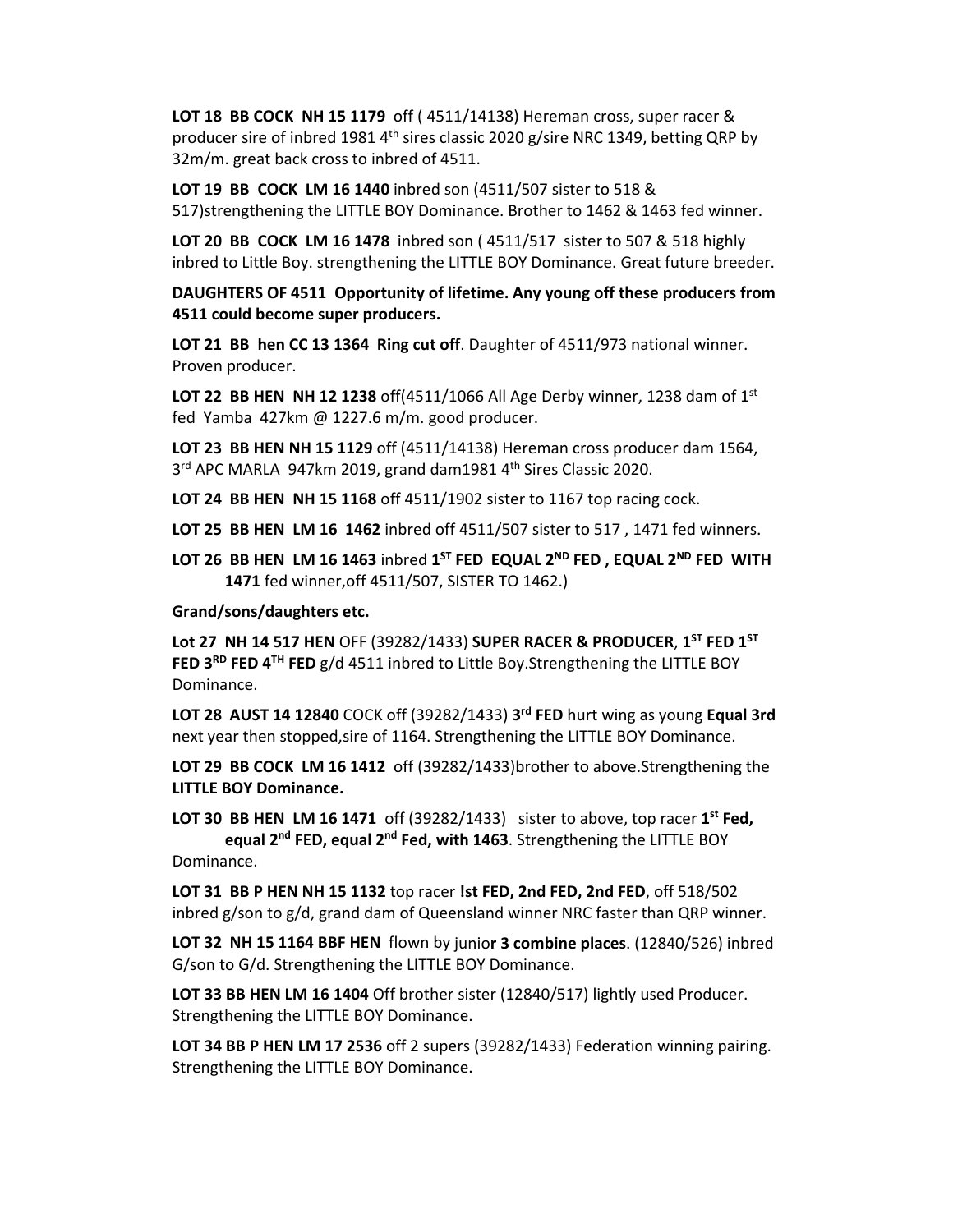**LOT 18 BB COCK NH 15 1179** off ( 4511/14138) Hereman cross, super racer & producer sire of inbred 1981  $4<sup>th</sup>$  sires classic 2020 g/sire NRC 1349, betting QRP by 32m/m. great back cross to inbred of 4511.

**LOT 19 BB COCK LM 16 1440** inbred son (4511/507 sister to 518 & 517)strengthening the LITTLE BOY Dominance. Brother to 1462 & 1463 fed winner.

**LOT 20 BB COCK LM 16 1478** inbred son ( 4511/517 sister to 507 & 518 highly inbred to Little Boy. strengthening the LITTLE BOY Dominance. Great future breeder.

**DAUGHTERS OF 4511 Opportunity of lifetime. Any young off these producers from 4511 could become super producers.**

**LOT 21 BB hen CC 13 1364 Ring cut off**. Daughter of 4511/973 national winner. Proven producer.

**LOT 22 BB HEN NH 12 1238** off(4511/1066 All Age Derby winner, 1238 dam of 1st fed Yamba 427km @ 1227.6 m/m. good producer.

**LOT 23 BB HEN NH 15 1129** off (4511/14138) Hereman cross producer dam 1564, 3<sup>rd</sup> APC MARLA 947km 2019, grand dam1981 4<sup>th</sup> Sires Classic 2020.

**LOT 24 BB HEN NH 15 1168** off 4511/1902 sister to 1167 top racing cock.

**LOT 25 BB HEN LM 16 1462** inbred off 4511/507 sister to 517 , 1471 fed winners.

**LOT 26 BB HEN LM 16 1463** inbred **1ST FED EQUAL 2ND FED , EQUAL 2ND FED WITH 1471** fed winner,off 4511/507, SISTER TO 1462.)

### **Grand/sons/daughters etc.**

**Lot 27 NH 14 517 HEN** OFF (39282/1433) **SUPER RACER & PRODUCER**, **1ST FED 1ST FED 3RD FED 4TH FED** g/d 4511 inbred to Little Boy.Strengthening the LITTLE BOY Dominance.

**LOT 28 AUST 14 12840** COCK off (39282/1433) **3rd FED** hurt wing as young **Equal 3rd** next year then stopped,sire of 1164. Strengthening the LITTLE BOY Dominance.

**LOT 29 BB COCK LM 16 1412** off (39282/1433)brother to above.Strengthening the **LITTLE BOY Dominance.**

**LOT 30 BB HEN LM 16 1471** off (39282/1433) sister to above, top racer **1st Fed, equal 2nd FED, equal 2nd Fed, with 1463**. Strengthening the LITTLE BOY

Dominance.

**LOT 31 BB P HEN NH 15 1132** top racer **!st FED, 2nd FED, 2nd FED**, off 518/502 inbred g/son to g/d, grand dam of Queensland winner NRC faster than QRP winner.

**LOT 32 NH 15 1164 BBF HEN** flown by junio**r 3 combine places**. (12840/526) inbred G/son to G/d. Strengthening the LITTLE BOY Dominance.

**LOT 33 BB HEN LM 16 1404** Off brother sister (12840/517) lightly used Producer. Strengthening the LITTLE BOY Dominance.

**LOT 34 BB P HEN LM 17 2536** off 2 supers (39282/1433) Federation winning pairing. Strengthening the LITTLE BOY Dominance.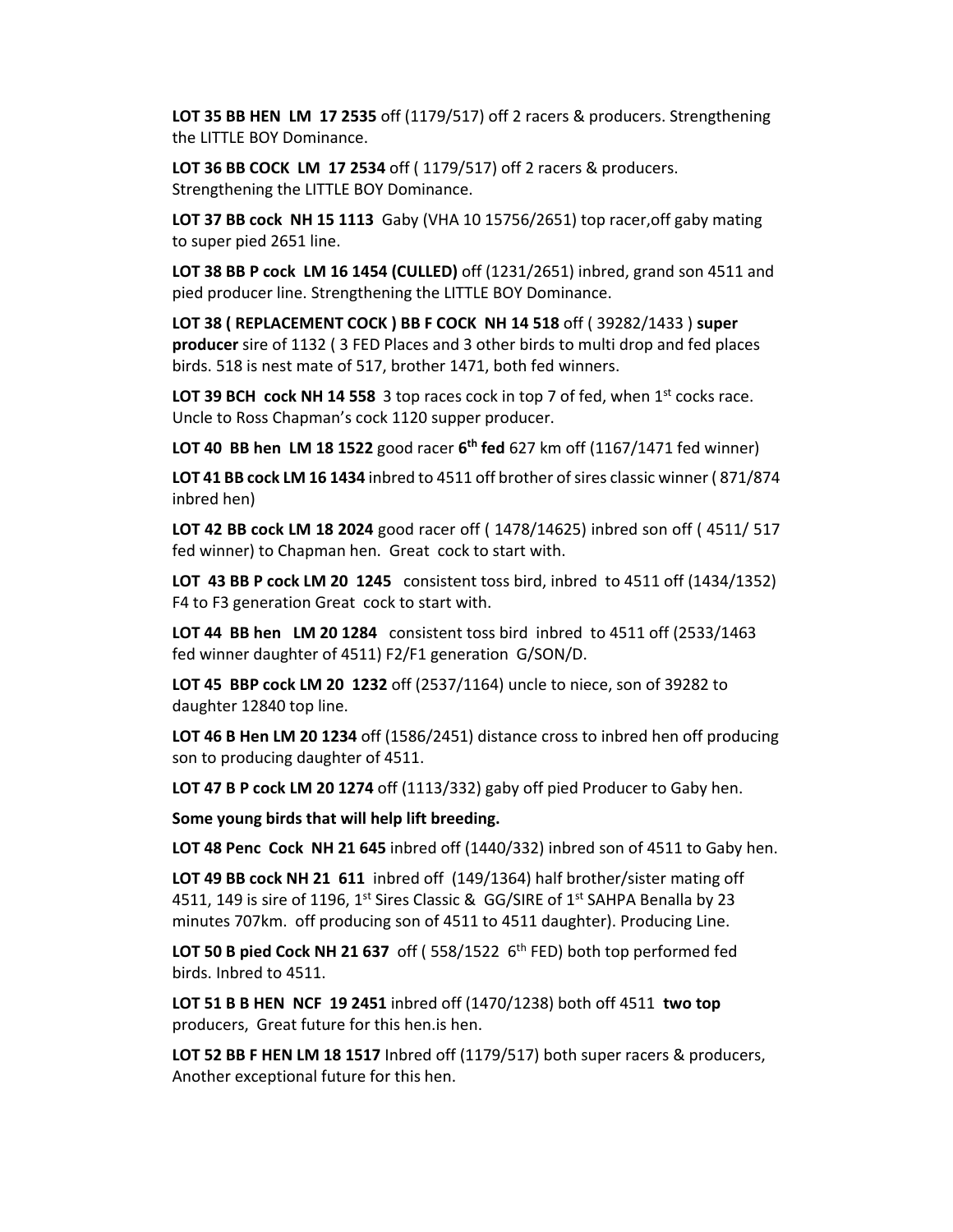**LOT 35 BB HEN LM 17 2535** off (1179/517) off 2 racers & producers. Strengthening the LITTLE BOY Dominance.

**LOT 36 BB COCK LM 17 2534** off ( 1179/517) off 2 racers & producers. Strengthening the LITTLE BOY Dominance.

**LOT 37 BB cock NH 15 1113** Gaby (VHA 10 15756/2651) top racer,off gaby mating to super pied 2651 line.

**LOT 38 BB P cock LM 16 1454 (CULLED)** off (1231/2651) inbred, grand son 4511 and pied producer line. Strengthening the LITTLE BOY Dominance.

**LOT 38 ( REPLACEMENT COCK ) BB F COCK NH 14 518** off ( 39282/1433 ) **super producer** sire of 1132 ( 3 FED Places and 3 other birds to multi drop and fed places birds. 518 is nest mate of 517, brother 1471, both fed winners.

**LOT 39 BCH cock NH 14 558** 3 top races cock in top 7 of fed, when 1<sup>st</sup> cocks race. Uncle to Ross Chapman's cock 1120 supper producer.

**LOT 40 BB hen LM 18 1522** good racer **6th fed** 627 km off (1167/1471 fed winner)

**LOT 41 BB cock LM 16 1434** inbred to 4511 off brother ofsires classic winner ( 871/874 inbred hen)

**LOT 42 BB cock LM 18 2024** good racer off ( 1478/14625) inbred son off ( 4511/ 517 fed winner) to Chapman hen. Great cock to start with.

**LOT 43 BB P cock LM 20 1245** consistent toss bird, inbred to 4511 off (1434/1352) F4 to F3 generation Great cock to start with.

**LOT 44 BB hen LM 20 1284** consistent toss bird inbred to 4511 off (2533/1463 fed winner daughter of 4511) F2/F1 generation G/SON/D.

**LOT 45 BBP cock LM 20 1232** off (2537/1164) uncle to niece, son of 39282 to daughter 12840 top line.

**LOT 46 B Hen LM 20 1234** off (1586/2451) distance cross to inbred hen off producing son to producing daughter of 4511.

**LOT 47 B P cock LM 20 1274** off (1113/332) gaby off pied Producer to Gaby hen.

**Some young birds that will help lift breeding.**

**LOT 48 Penc Cock NH 21 645** inbred off (1440/332) inbred son of 4511 to Gaby hen.

**LOT 49 BB cock NH 21 611** inbred off (149/1364) half brother/sister mating off 4511, 149 is sire of 1196, 1<sup>st</sup> Sires Classic &  $GG/SIRE$  of 1<sup>st</sup> SAHPA Benalla by 23 minutes 707km. off producing son of 4511 to 4511 daughter). Producing Line.

**LOT 50 B pied Cock NH 21 637** off ( 558/1522 6th FED) both top performed fed birds. Inbred to 4511.

**LOT 51 B B HEN NCF 19 2451** inbred off (1470/1238) both off 4511 **two top** producers, Great future for this hen.is hen.

**LOT 52 BB F HEN LM 18 1517** Inbred off (1179/517) both super racers & producers, Another exceptional future for this hen.